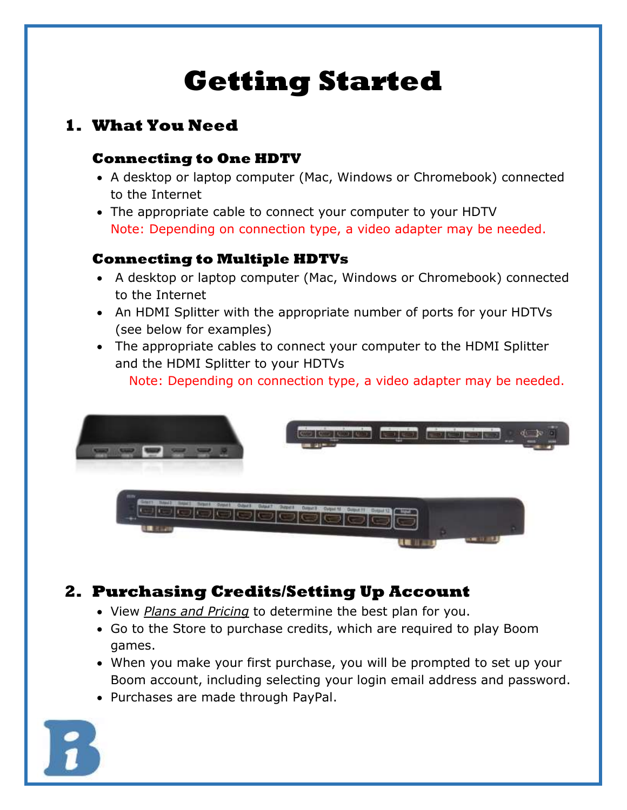# **Getting Started**

## **1. What You Need**

#### **Connecting to One HDTV**

- A desktop or laptop computer (Mac, Windows or Chromebook) connected to the Internet
- The appropriate cable to connect your computer to your HDTV Note: Depending on connection type, a video adapter may be needed.

#### **Connecting to Multiple HDTVs**

- A desktop or laptop computer (Mac, Windows or Chromebook) connected to the Internet
- An HDMI Splitter with the appropriate number of ports for your HDTVs (see below for examples)
- The appropriate cables to connect your computer to the HDMI Splitter and the HDMI Splitter to your HDTVs

Note: Depending on connection type, a video adapter may be needed.



# **2. Purchasing Credits/Setting Up Account**

- View *[Plans and Pricing](https://boomindustries.com/boom-games-plans/)* to determine the best plan for you.
- Go to the Store to purchase credits, which are required to play Boom games.
- When you make your first purchase, you will be prompted to set up your Boom account, including selecting your login email address and password.
- Purchases are made through PayPal.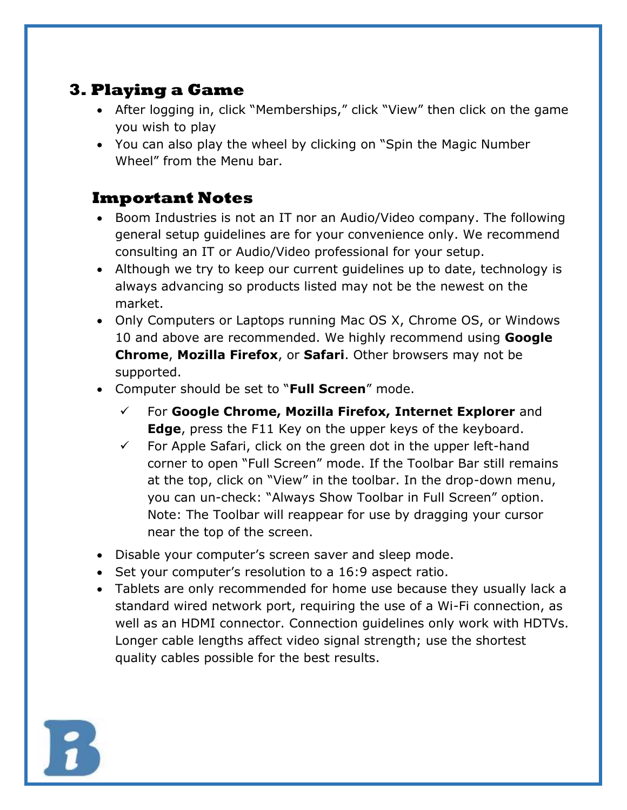## **3. Playing a Game**

- After logging in, click "Memberships," click "View" then click on the game you wish to play
- You can also play the wheel by clicking on "Spin the Magic Number Wheel" from the Menu bar.

### **Important Notes**

- Boom Industries is not an IT nor an Audio/Video company. The following general setup guidelines are for your convenience only. We recommend consulting an IT or Audio/Video professional for your setup.
- Although we try to keep our current guidelines up to date, technology is always advancing so products listed may not be the newest on the market.
- Only Computers or Laptops running Mac OS X, Chrome OS, or Windows 10 and above are recommended. We highly recommend using **Google Chrome**, **Mozilla Firefox**, or **Safari**. Other browsers may not be supported.
- Computer should be set to "**Full Screen**" mode.
	- ✓ For **Google Chrome, Mozilla Firefox, Internet Explorer** and **Edge**, press the F11 Key on the upper keys of the keyboard.
	- $\checkmark$  For Apple Safari, click on the green dot in the upper left-hand corner to open "Full Screen" mode. If the Toolbar Bar still remains at the top, click on "View" in the toolbar. In the drop-down menu, you can un-check: "Always Show Toolbar in Full Screen" option. Note: The Toolbar will reappear for use by dragging your cursor near the top of the screen.
- Disable your computer's screen saver and sleep mode.
- Set your computer's resolution to a 16:9 aspect ratio.
- Tablets are only recommended for home use because they usually lack a standard wired network port, requiring the use of a Wi-Fi connection, as well as an HDMI connector. Connection guidelines only work with HDTVs. Longer cable lengths affect video signal strength; use the shortest quality cables possible for the best results.